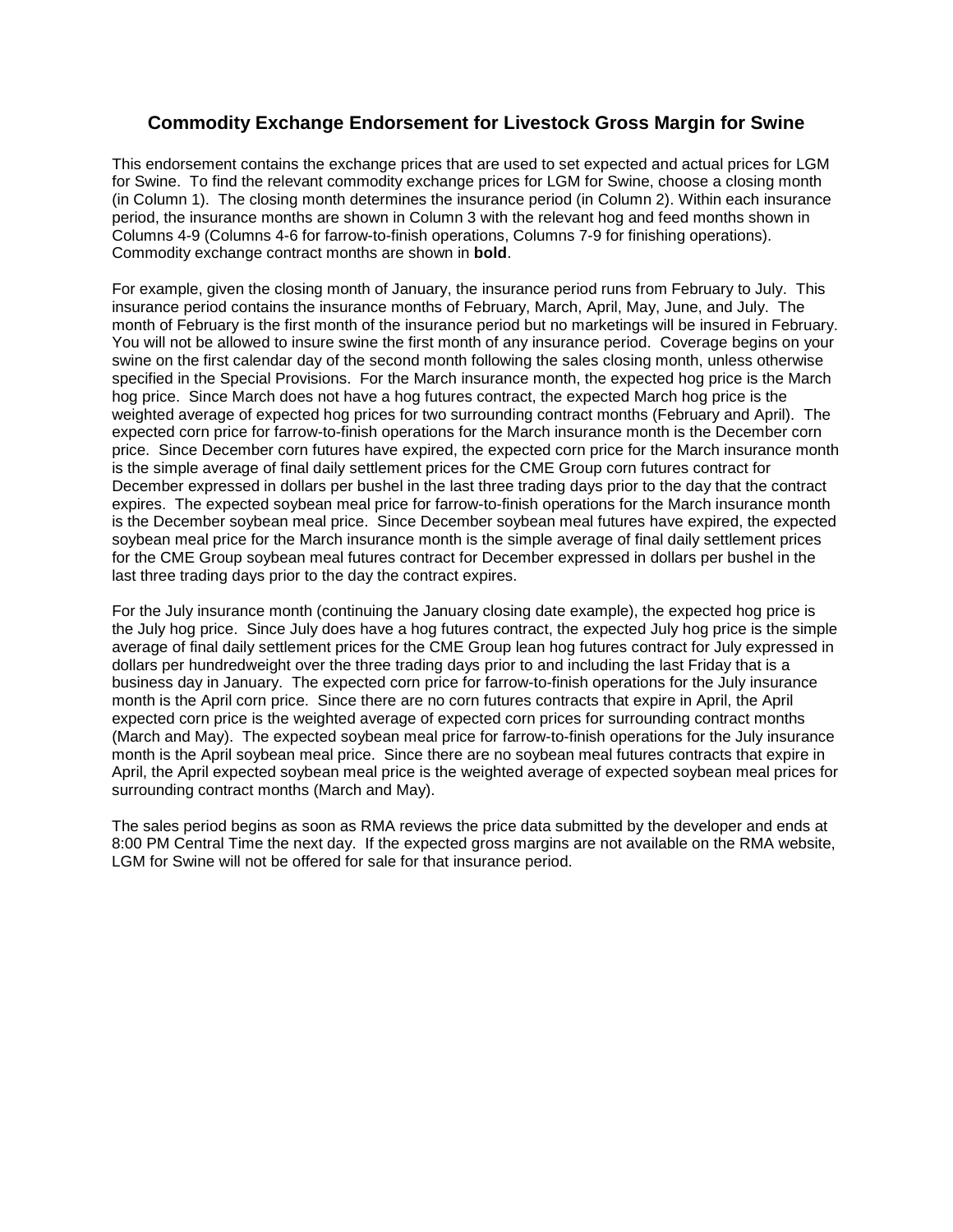## **Commodity Exchange Endorsement for Livestock Gross Margin for Swine**

This endorsement contains the exchange prices that are used to set expected and actual prices for LGM for Swine. To find the relevant commodity exchange prices for LGM for Swine, choose a closing month (in Column 1). The closing month determines the insurance period (in Column 2). Within each insurance period, the insurance months are shown in Column 3 with the relevant hog and feed months shown in Columns 4-9 (Columns 4-6 for farrow-to-finish operations, Columns 7-9 for finishing operations). Commodity exchange contract months are shown in **bold**.

For example, given the closing month of January, the insurance period runs from February to July. This insurance period contains the insurance months of February, March, April, May, June, and July. The month of February is the first month of the insurance period but no marketings will be insured in February. You will not be allowed to insure swine the first month of any insurance period. Coverage begins on your swine on the first calendar day of the second month following the sales closing month, unless otherwise specified in the Special Provisions. For the March insurance month, the expected hog price is the March hog price. Since March does not have a hog futures contract, the expected March hog price is the weighted average of expected hog prices for two surrounding contract months (February and April). The expected corn price for farrow-to-finish operations for the March insurance month is the December corn price. Since December corn futures have expired, the expected corn price for the March insurance month is the simple average of final daily settlement prices for the CME Group corn futures contract for December expressed in dollars per bushel in the last three trading days prior to the day that the contract expires. The expected soybean meal price for farrow-to-finish operations for the March insurance month is the December soybean meal price. Since December soybean meal futures have expired, the expected soybean meal price for the March insurance month is the simple average of final daily settlement prices for the CME Group soybean meal futures contract for December expressed in dollars per bushel in the last three trading days prior to the day the contract expires.

For the July insurance month (continuing the January closing date example), the expected hog price is the July hog price. Since July does have a hog futures contract, the expected July hog price is the simple average of final daily settlement prices for the CME Group lean hog futures contract for July expressed in dollars per hundredweight over the three trading days prior to and including the last Friday that is a business day in January. The expected corn price for farrow-to-finish operations for the July insurance month is the April corn price. Since there are no corn futures contracts that expire in April, the April expected corn price is the weighted average of expected corn prices for surrounding contract months (March and May). The expected soybean meal price for farrow-to-finish operations for the July insurance month is the April soybean meal price. Since there are no soybean meal futures contracts that expire in April, the April expected soybean meal price is the weighted average of expected soybean meal prices for surrounding contract months (March and May).

The sales period begins as soon as RMA reviews the price data submitted by the developer and ends at 8:00 PM Central Time the next day. If the expected gross margins are not available on the RMA website, LGM for Swine will not be offered for sale for that insurance period.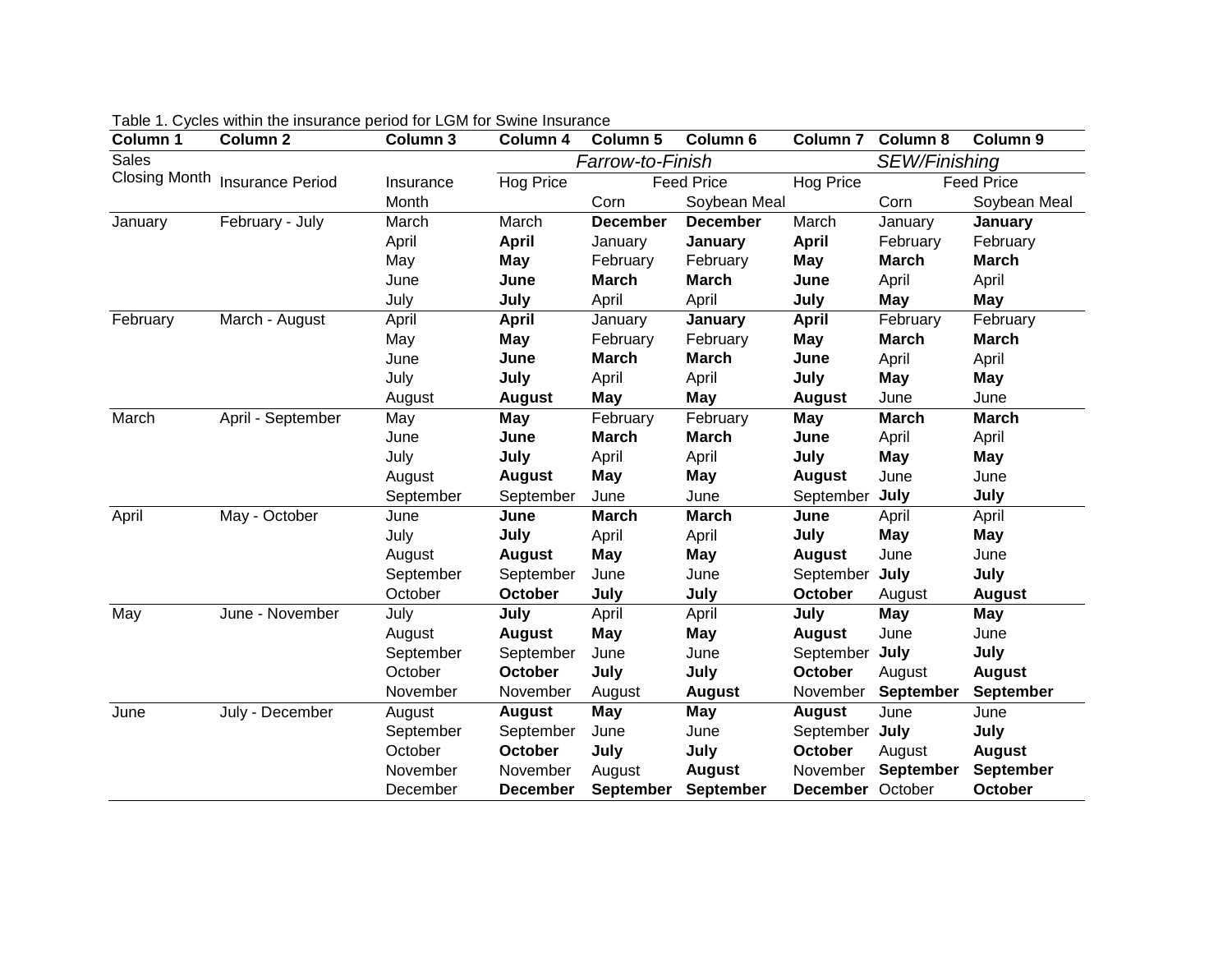| Column 1     | Column <sub>2</sub>            | Column 3  | Column 4         | Column 5          | Column 6        | Column <sub>7</sub> | <b>Column 8</b>   | Column 9         |
|--------------|--------------------------------|-----------|------------------|-------------------|-----------------|---------------------|-------------------|------------------|
| <b>Sales</b> |                                |           | Farrow-to-Finish |                   |                 | SEW/Finishing       |                   |                  |
|              | Closing Month Insurance Period | Insurance | Hog Price        | <b>Feed Price</b> |                 | Hog Price           | <b>Feed Price</b> |                  |
|              |                                | Month     |                  | Corn              | Soybean Meal    |                     | Corn              | Soybean Meal     |
| January      | February - July                | March     | March            | <b>December</b>   | <b>December</b> | March               | January           | January          |
|              |                                | April     | <b>April</b>     | January           | January         | <b>April</b>        | February          | February         |
|              |                                | May       | May              | February          | February        | May                 | <b>March</b>      | <b>March</b>     |
|              |                                | June      | June             | <b>March</b>      | <b>March</b>    | June                | April             | April            |
|              |                                | July      | July             | April             | April           | July                | May               | <b>May</b>       |
| February     | March - August                 | April     | <b>April</b>     | January           | January         | <b>April</b>        | February          | February         |
|              |                                | May       | May              | February          | February        | <b>May</b>          | <b>March</b>      | <b>March</b>     |
|              |                                | June      | June             | <b>March</b>      | <b>March</b>    | June                | April             | April            |
|              |                                | July      | July             | April             | April           | July                | <b>May</b>        | May              |
|              |                                | August    | <b>August</b>    | May               | May             | <b>August</b>       | June              | June             |
| March        | April - September              | May       | May              | February          | February        | <b>May</b>          | <b>March</b>      | <b>March</b>     |
|              |                                | June      | June             | <b>March</b>      | <b>March</b>    | June                | April             | April            |
|              |                                | July      | July             | April             | April           | July                | <b>May</b>        | May              |
|              |                                | August    | <b>August</b>    | <b>May</b>        | May             | <b>August</b>       | June              | June             |
|              |                                | September | September        | June              | June            | September           | July              | July             |
| April        | May - October                  | June      | June             | <b>March</b>      | <b>March</b>    | June                | April             | April            |
|              |                                | July      | July             | April             | April           | July                | <b>May</b>        | <b>May</b>       |
|              |                                | August    | <b>August</b>    | May               | <b>May</b>      | <b>August</b>       | June              | June             |
|              |                                | September | September        | June              | June            | September           | July              | July             |
|              |                                | October   | October          | July              | July            | October             | August            | <b>August</b>    |
| May          | June - November                | July      | July             | April             | April           | July                | <b>May</b>        | May              |
|              |                                | August    | <b>August</b>    | <b>May</b>        | <b>May</b>      | <b>August</b>       | June              | June             |
|              |                                | September | September        | June              | June            | September           | July              | July             |
|              |                                | October   | <b>October</b>   | July              | July            | <b>October</b>      | August            | <b>August</b>    |
|              |                                | November  | November         | August            | <b>August</b>   | November            | September         | <b>September</b> |
| June         | July - December                | August    | <b>August</b>    | <b>May</b>        | May             | <b>August</b>       | June              | June             |
|              |                                | September | September        | June              | June            | September July      |                   | July             |
|              |                                | October   | October          | July              | July            | October             | August            | <b>August</b>    |
|              |                                | November  | November         | August            | <b>August</b>   | November            | <b>September</b>  | <b>September</b> |
|              |                                | December  | <b>December</b>  | <b>September</b>  | September       | December October    |                   | October          |

Table 1. Cycles within the insurance period for LGM for Swine Insurance